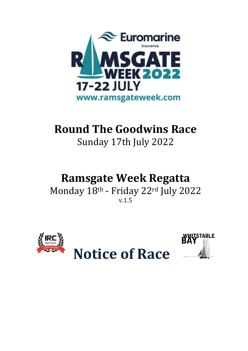

## **Round The Goodwins Race**

Sunday 17th July 2022

### **Ramsgate Week Regatta**

Monday 18th - Friday 22rd July 2022 v.1.5



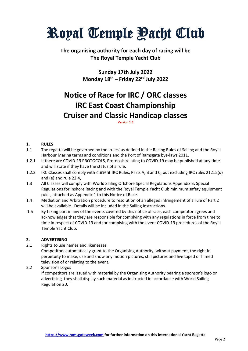# Royal Temple <u>Pacht</u> Club

#### **The organising authority for each day of racing will be The Royal Temple Yacht Club**

**Sunday 17th July 2022 Monday 18 th – Friday 22 rd July 2022**

### **Notice of Race for IRC / ORC classes IRC East Coast Championship Cruiser and Classic Handicap classes**

**Version 1.5**

#### **1. RULES**

- 1.1 The regatta will be governed by the 'rules' as defined in the Racing Rules of Sailing and the Royal Harbour Marina terms and conditions and the Port of Ramsgate bye-laws 2011.
- 1.2.1 If there are COVID-19 PROTOCOLS, Protocols relating to COVID-19 may be published at any time and will state if they have the status of a rule.
- 1.2.2 IRC Classes shall comply with current IRC Rules, Parts A, B and C, but excluding IRC rules 21.1.5(d) and (e) and rule 22.4,
- 1.3 All Classes will comply with World Sailing Offshore Special Regulations Appendix B: Special Regulations for Inshore Racing and with the Royal Temple Yacht Club minimum safety equipment rules, attached as Appendix 1 to this Notice of Race.
- 1.4 Mediation and Arbitration procedure to resolution of an alleged infringement of a rule of Part 2 will be available. Details will be included in the Sailing Instructions.
- 1.5 By taking part in any of the events covered by this notice of race, each competitor agrees and acknowledges that they are responsible for complying with any regulations in force from time to time in respect of COVID-19 and for complying with the event COVID-19 procedures of the Royal Temple Yacht Club.

#### **2. ADVERTISING**

2.1 Rights to use names and likenesses.

Competitors automatically grant to the Organising Authority, without payment, the right in perpetuity to make, use and show any motion pictures, still pictures and live taped or filmed television of or relating to the event.

2.2 Sponsor's Logos

If competitors are issued with material by the Organising Authority bearing a sponsor's logo or advertising, they shall display such material as instructed in accordance with World Sailing Regulation 20.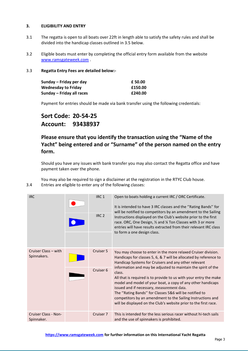#### **3. ELIGIBILITY AND ENTRY**

- 3.1 The regatta is open to all boats over 22ft in length able to satisfy the safety rules and shall be divided into the handicap classes outlined in 3.5 below.
- 3.2 Eligible boats must enter by completing the official entry form available from the website [www.ramsgateweek.com](http://www.ramsgateweek.com/) .

#### 3.3 **Regatta Entry Fees are detailed below:-**

| Sunday – Friday per day    | £ 50.00 |
|----------------------------|---------|
| <b>Wednesday to Friday</b> | £150.00 |
| Sunday – Friday all races  | £240.00 |

Payment for entries should be made via bank transfer using the following credentials:

#### **Sort Code: 20-54-25 Account: 93438937**

#### **Please ensure that you identify the transaction using the "Name of the Yacht" being entered and or "Surname" of the person named on the entry form.**

Should you have any issues with bank transfer you may also contact the Regatta office and have payment taken over the phone.

You may also be required to sign a disclaimer at the registration in the RTYC Club house. 3.4 Entries are eligible to enter any of the following classes:

| <b>IRC</b>                          | IRC <sub>1</sub><br>IRC <sub>2</sub> | Open to boats holding a current IRC / ORC Certificate.<br>It is intended to have 3 IRC classes and the "Rating Bands" for<br>will be notified to competitors by an amendment to the Sailing<br>Instructions displayed on the Club's website prior to the first<br>race. ORC, One Design, 1/2 and 1/4 Ton Classes with 3 or more<br>entries will have results extracted from their relevant IRC class<br>to form a one design class.                    |
|-------------------------------------|--------------------------------------|--------------------------------------------------------------------------------------------------------------------------------------------------------------------------------------------------------------------------------------------------------------------------------------------------------------------------------------------------------------------------------------------------------------------------------------------------------|
| Cruiser Class - with<br>Spinnakers. | Cruiser 5                            | You may choose to enter in the more relaxed Cruiser division.<br>Handicaps for classes 5, 6, & 7 will be allocated by reference to<br>Handicap Systems for Cruisers and any other relevant                                                                                                                                                                                                                                                             |
|                                     | Cruiser 6                            | information and may be adjusted to maintain the spirit of the<br>class.<br>All that is required is to provide to us with your entry the make<br>model and model of your boat, a copy of any other handicaps<br>issued and if necessary, measurement data.<br>The "Rating Bands" for Classes 5&6 will be notified to<br>competitors by an amendment to the Sailing Instructions and<br>will be displayed on the Club's website prior to the first race. |
| Cruiser Class - Non-<br>Spinnaker.  | Cruiser 7                            | This is intended for the less serious racer without hi-tech sails<br>and the use of spinnakers is prohibited.                                                                                                                                                                                                                                                                                                                                          |

**[https://www.ramsgateweek.com](https://www.ramsgateweek.com/) for further information on this International Yacht Regatta**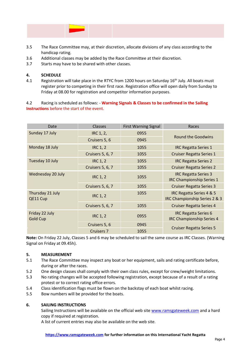- 3.5 The Race Committee may, at their discretion, allocate divisions of any class according to the handicap rating.
- 3.6 Additional classes may be added by the Race Committee at their discretion.
- 3.7 Starts may have to be shared with other classes.

#### **4. SCHEDULE**

4.1 Registration will take place in the RTYC from 1200 hours on Saturday 16<sup>th</sup> July. All boats must register prior to competing in their first race. Registration office will open daily from Sunday to Friday at 08.00 for registration and competitor information purposes.

4.2 Racing is scheduled as follows: - **Warning Signals & Classes to be confirmed in the Sailing Instructions** before the start of the event.

| Date                              | <b>Classes</b>          | <b>First Warning Signal</b> | Races                                                           |
|-----------------------------------|-------------------------|-----------------------------|-----------------------------------------------------------------|
| Sunday 17 July                    | IRC 1, 2,               | 0955                        | <b>Round the Goodwins</b>                                       |
|                                   | Cruisers 5, 6           | 0945                        |                                                                 |
| Monday 18 July                    | <b>IRC 1, 2</b>         | 1055                        | <b>IRC Regatta Series 1</b>                                     |
|                                   | <b>Cruisers 5, 6, 7</b> | 1055                        | <b>Cruiser Regatta Series 1</b>                                 |
| Tuesday 10 July                   | <b>IRC 1, 2</b>         | 1055                        | <b>IRC Regatta Series 2</b>                                     |
|                                   | <b>Cruisers 5, 6, 7</b> | 1055                        | <b>Cruiser Regatta Series 2</b>                                 |
| Wednesday 20 July                 | <b>IRC 1, 2</b>         | 1055                        | <b>IRC Regatta Series 3</b><br><b>IRC Championship Series 1</b> |
|                                   | <b>Cruisers 5, 6, 7</b> | 1055                        | <b>Cruiser Regatta Series 3</b>                                 |
| Thursday 21 July<br>QE11 Cup      | <b>IRC 1, 2</b>         | 1055                        | IRC Regatta Series 4 & 5<br>IRC Championship Series 2 & 3       |
|                                   | Cruisers 5, 6, 7        | 1055                        | <b>Cruiser Regatta Series 4</b>                                 |
| Friday 22 July<br><b>Gold Cup</b> | <b>IRC 1, 2</b>         | 0955                        | <b>IRC Regatta Series 6</b><br><b>IRC Championship Series 4</b> |
|                                   | Cruisers 5, 6           | 0945                        | <b>Cruiser Regatta Series 5</b>                                 |
|                                   | <b>Cruisers 7</b>       | 1055                        |                                                                 |

**Note:** On Friday 22 July, Classes 5 and 6 may be scheduled to sail the same course as IRC Classes. (Warning Signal on Friday at 09.45h).

#### **5. MEASUREMENT**

- 5.1 The Race Committee may inspect any boat or her equipment, sails and rating certificate before, during or after the races.
- 5.2 One design classes shall comply with their own class rules, except for crew/weight limitations.
- 5.3 No rating changes will be accepted following registration, except because of a result of a rating protest or to correct rating office errors.
- 5.4 Class identification flags must be flown on the backstay of each boat whilst racing.
- 5.5 Bow numbers will be provided for the boats.

#### **6. SAILING INSTRUCTIONS**

Sailing Instructions will be available on the official web sit[e www.ramsgateweek.com](http://www.ramsgateweek.com/) and a hard copy if required at registration.

A list of current entries may also be available on the web site.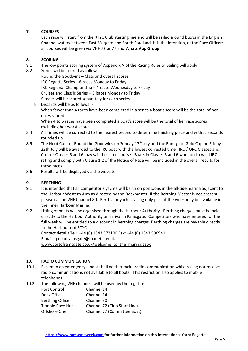#### **7. COURSES**

Each race will start from the RTYC Club starting line and will be sailed around buoys in the English Channel waters between East Margate and South Foreland. It is the intention, of the Race Officers, all courses will be given via VHF 72 or 77 and **Whats App Group.**

#### **8. SCORING**

- 8.1 The low points scoring system of Appendix A of the Racing Rules of Sailing will apply.
- 8.2 Series will be scored as follows: Round the Goodwins – Class and overall scores. IRC Regatta Series – 6 races Monday to Friday IRC Regional Championship – 4 races Wednesday to Friday Cruiser and Classic Series – 5 Races Monday to Friday Classes will be scored separately for each series.
	- a. Discards will be as follows: When fewer than 4 races have been completed in a series a boat's score will be the total of her races scored. When 4 to 6 races have been completed a boat's score will be the total of her race scores

excluding her worst score.

- 8.4 All Times will be corrected to the nearest second to determine finishing place and with .5 seconds rounded up.
- 8.5 The Noot Cup for Round the Goodwins on Sunday 17<sup>th</sup> July and the Ramsgate Gold Cup on Friday 22th July will be awarded to the IRC boat with the lowest corrected time. IRC / ORC Classes and Cruiser Classes 5 and 6 may sail the same course. Boats in Classes 5 and 6 who hold a valid IRC rating and comply with Clause 1.2 of the Notice of Race will be included in the overall results for these races.
- 8.6 Results will be displayed via the website.

#### **9. BERTHING**

- 9.1 It is intended that all competitor's yachts will berth on pontoons in the all-tide marina adjacent to the Harbour Western Arm as directed by the Dockmaster. If the Berthing Master is not present, please call on VHF Channel 80. Berths for yachts racing only part of the week may be available in the inner Harbour Marina.
- 9.2 Lifting of boats will be organised through the Harbour Authority. Berthing charges must be paid directly to the Harbour Authority on arrival in Ramsgate. Competitors who have entered for the full week will be entitled to a discount in berthing charges. Berthing charges are payable directly to the Harbour not RTYC.

Contact details Tel: +44 (0) 1843 572100 Fax: +44 (0) 1843 590941 E mail : [portoframsgate@thanet.gov.uk](mailto:portoframsgate@thanet.gov.uk) www.portoframsgate.co.uk/welcome\_to\_the\_marina.aspx

#### **10. RADIO COMMUNICATION**

- 10.1 Except in an emergency a boat shall neither make radio communication while racing nor receive radio communications not available to all boats. This restriction also applies to mobile telephones.
- 10.2 The following VHF channels will be used by the regatta:-

| Port Control            | Channel 14                   |
|-------------------------|------------------------------|
| Dock Office             | Channel 14                   |
| <b>Berthing Officer</b> | Channel 80                   |
| Temple Race Hut         | Channel 72 (Club Start Line) |
| Offshore One            | Channel 77 (Committee Boat)  |
|                         |                              |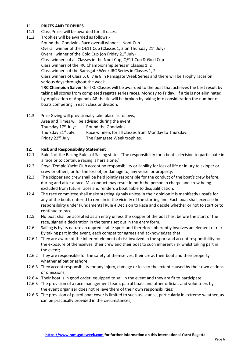#### 11. **PRIZES AND TROPHIES**

- 11.1 Class Prizes will be awarded for all races.
- 11.2 Trophies will be awarded as follows:- Round the Goodwins Race overall winner – Noot Cup. Overall winner of the QE11 Cup (Classes 1, 2 on Thursday 21<sup>st</sup> July) Overall winner of the Gold Cup (on Friday 21<sup>st</sup> July) Class winners of all Classes in the Noot Cup, QE11 Cup & Gold Cup Class winners of the IRC Championship series in Classes 1, 2 Class winners of the Ramsgate Week IRC Series in Classes 1, 2 Class winners of Class 5, 6, 7 & 8 in Ramsgate Week Series and there will be Trophy races on various days throughout the week. **'IRC Champion Salver'** for IRC Classes will be awarded to the boat that achieves the best result by taking all scores from completed regatta series races, Monday to Friday. If a tie is not eliminated by Application of Appendix A8 the tie will be broken by taking into consideration the number of boats competing in each class or division.

11.3 Prize Giving will provisionally take place as follows, Area and Times will be advised during the event. Thursday  $17<sup>th</sup>$  July: Round the Goodwins. Thursday 21st July: Race winners for all classes from Monday to Thursday. Friday 22<sup>nd</sup> July: The Ramsgate Week trophies.

#### **12. Risk and Responsibility Statement**

- 12.1 Rule 4 of the Racing Rules of Sailing states "The responsibility for a boat's decision to participate in a race or to continue racing is hers alone."
- 12.2 Royal Temple Yacht Club accept no responsibility or liability for loss of life or injury to skipper or crew or others, or for the loss of, or damage to, any vessel or property.
- 12.3 The skipper and crew shall be held jointly responsible for the conduct of the boat's crew before, during and after a race. Misconduct may result in both the person in charge and crew being excluded from future races and renders a boat liable to disqualification.
- 12.4 The race committee shall make starting signals unless in their opinion it is manifestly unsafe for any of the boats entered to remain in the vicinity of the starting line. Each boat shall exercise her responsibility under Fundamental Rule 4 Decision to Race and decide whether or not to start or to continue to race.
- 12.5 No boat shall be accepted as an entry unless the skipper of the boat has, before the start of the race, signed a declaration in the terms set out in the entry form.
- 12.6 Sailing is by its nature an unpredictable sport and therefore inherently involves an element of risk. By taking part in the event, each competitor agrees and acknowledges that:
- 12.6.1 They are aware of the inherent element of risk involved in the sport and accept responsibility for the exposure of themselves, their crew and their boat to such inherent risk whilst taking part in the event;
- 12.6.2 They are responsible for the safety of themselves, their crew, their boat and their property whether afloat or ashore;
- 12.6.3 They accept responsibility for any injury, damage or loss to the extent caused by their own actions or omissions;
- 12.6.4 Their boat is in good order, equipped to sail in the event and they are fit to participate
- 12.6.5 The provision of a race management team, patrol boats and other officials and volunteers by the event organiser does not relieve them of their own responsibilities;
- 12.6.6 The provision of patrol boat cover is limited to such assistance, particularly in extreme weather, as can be practically provided in the circumstances;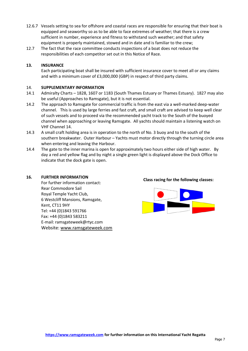- 12.6.7 Vessels setting to sea for offshore and coastal races are responsible for ensuring that their boat is equipped and seaworthy so as to be able to face extremes of weather; that there is a crew sufficient in number, experience and fitness to withstand such weather; and that safety equipment is properly maintained, stowed and in date and is familiar to the crew;
- 12.7 The fact that the race committee conducts inspections of a boat does not reduce the responsibilities of each competitor set out in this Notice of Race.

#### **13. INSURANCE**

Each participating boat shall be insured with sufficient insurance cover to meet all or any claims and with a minimum cover of £3,000,000 (GBP) in respect of third party claims.

#### 14. **SUPPLEMENTARY INFORMATION**

- 14.1 Admiralty Charts 1828, 1607 or 1183 (South Thames Estuary or Thames Estuary). 1827 may also be useful (Approaches to Ramsgate), but it is not essential.
- 14.2 The approach to Ramsgate for commercial traffic is from the east via a well-marked deep-water channel. This is used by large ferries and fast craft, and small craft are advised to keep well clear of such vessels and to proceed via the recommended yacht track to the South of the buoyed channel when approaching or leaving Ramsgate. All yachts should maintain a listening watch on VHF Channel 14.
- 14.3 A small craft holding area is in operation to the north of No. 3 buoy and to the south of the southern breakwater. Outer Harbour – Yachts must motor directly through the turning circle area when entering and leaving the Harbour.
- 14.4 The gate to the inner marina is open for approximately two hours either side of high water. By day a red and yellow flag and by night a single green light is displayed above the Dock Office to indicate that the dock gate is open.

#### **16. FURTHER INFORMATION**

For further information contact: Rear Commodore Sail Royal Temple Yacht Club, 6 Westcliff Mansions, Ramsgate, Kent, CT11 9HY Tel: +44 (0)1843 591766 Fax: +44 (0)1843 583211 E-mail: ramsgateweek@rtyc.com Website: [www.ramsgateweek.com](http://www.ramsgateweek.com/)

#### **Class racing for the following classes:**